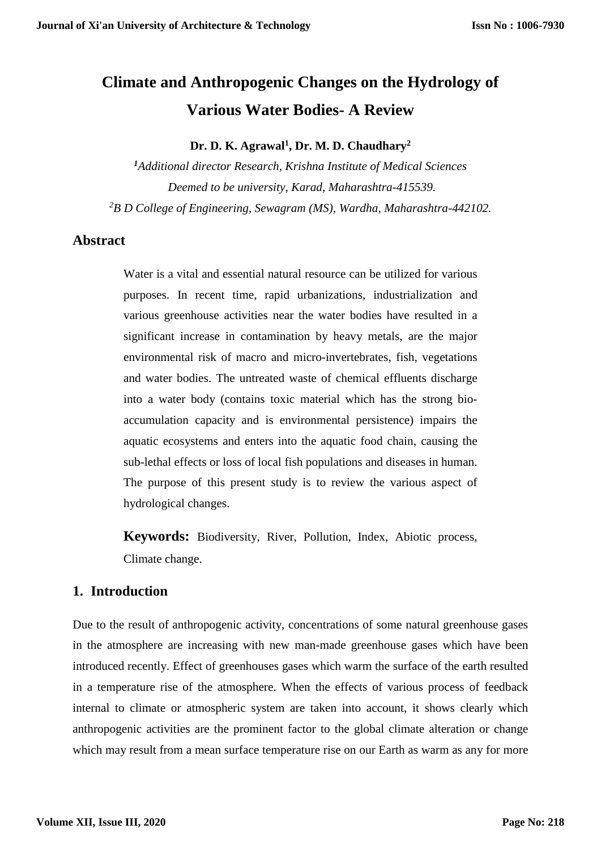# **Climate and Anthropogenic Changes on the Hydrology of Various Water Bodies- A Review**

**Dr. D. K. Agrawal<sup>1</sup> , Dr. M. D. Chaudhary<sup>2</sup>**

*<sup>1</sup>Additional director Research, Krishna Institute of Medical Sciences Deemed to be university, Karad, Maharashtra-415539. <sup>2</sup>B D College of Engineering, Sewagram (MS), Wardha, Maharashtra-442102.*

# **Abstract**

Water is a vital and essential natural resource can be utilized for various purposes. In recent time, rapid urbanizations, industrialization and various greenhouse activities near the water bodies have resulted in a significant increase in contamination by heavy metals, are the major environmental risk of macro and micro-invertebrates, fish, vegetations and water bodies. The untreated waste of chemical effluents discharge into a water body (contains toxic material which has the strong bioaccumulation capacity and is environmental persistence) impairs the aquatic ecosystems and enters into the aquatic food chain, causing the sub-lethal effects or loss of local fish populations and diseases in human. The purpose of this present study is to review the various aspect of hydrological changes.

**Keywords:** Biodiversity, River, Pollution, Index, Abiotic process, Climate change.

# **1. Introduction**

Due to the result of anthropogenic activity, concentrations of some natural greenhouse gases in the atmosphere are increasing with new man-made greenhouse gases which have been introduced recently. Effect of greenhouses gases which warm the surface of the earth resulted in a temperature rise of the atmosphere. When the effects of various process of feedback internal to climate or atmospheric system are taken into account, it shows clearly which anthropogenic activities are the prominent factor to the global climate alteration or change which may result from a mean surface temperature rise on our Earth as warm as any for more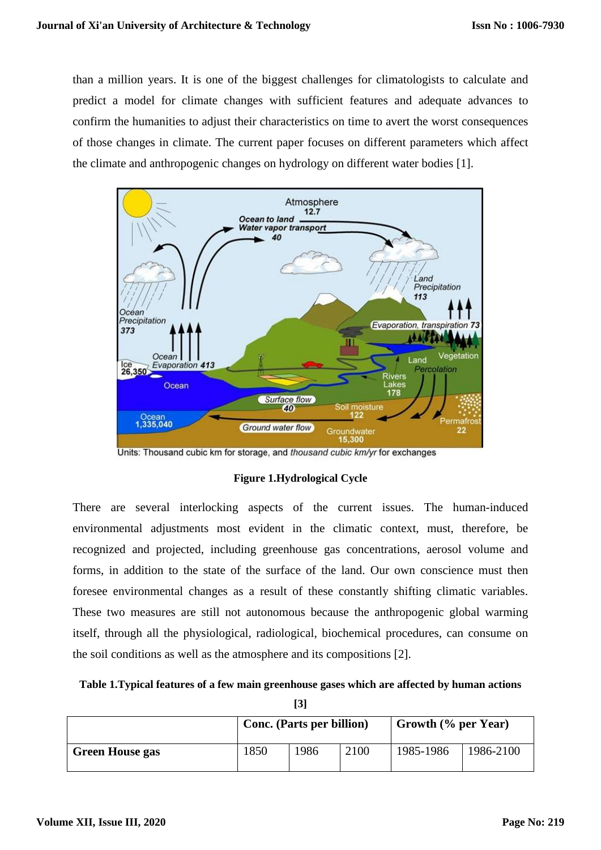than a million years. It is one of the biggest challenges for climatologists to calculate and predict a model for climate changes with sufficient features and adequate advances to confirm the humanities to adjust their characteristics on time to avert the worst consequences of those changes in climate. The current paper focuses on different parameters which affect the climate and anthropogenic changes on hydrology on different water bodies [1].



Units: Thousand cubic km for storage, and thousand cubic km/yr for exchanges

#### **Figure 1.Hydrological Cycle**

There are several interlocking aspects of the current issues. The human-induced environmental adjustments most evident in the climatic context, must, therefore, be recognized and projected, including greenhouse gas concentrations, aerosol volume and forms, in addition to the state of the surface of the land. Our own conscience must then foresee environmental changes as a result of these constantly shifting climatic variables. These two measures are still not autonomous because the anthropogenic global warming itself, through all the physiological, radiological, biochemical procedures, can consume on the soil conditions as well as the atmosphere and its compositions [2].

|  |  |  |  |  | Table 1. Typical features of a few main greenhouse gases which are affected by human actions |
|--|--|--|--|--|----------------------------------------------------------------------------------------------|
|--|--|--|--|--|----------------------------------------------------------------------------------------------|

| I<br>۰.<br>× |
|--------------|
|--------------|

|                        | <b>Conc.</b> (Parts per billion) |      |      | Growth $(\%$ per Year) |           |
|------------------------|----------------------------------|------|------|------------------------|-----------|
| <b>Green House gas</b> | 1850                             | 1986 | 2100 | 1985-1986              | 1986-2100 |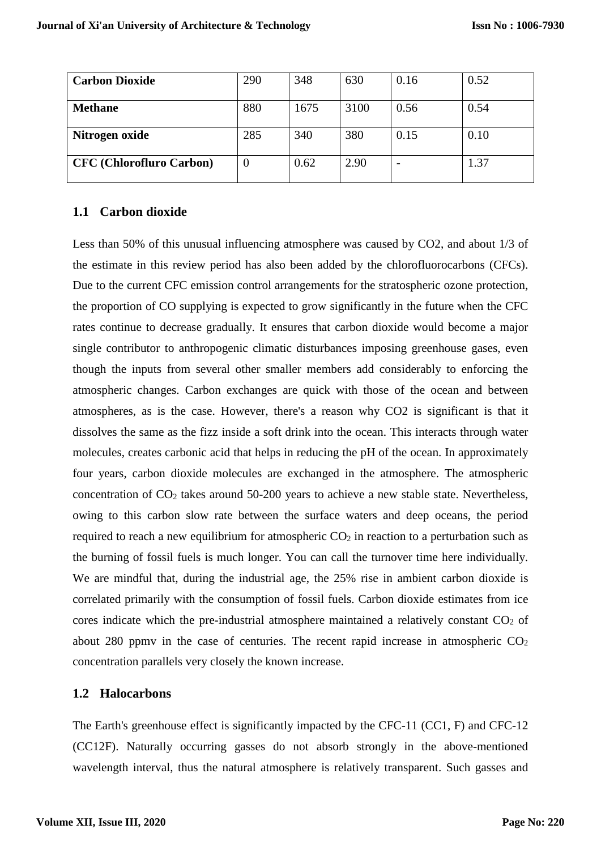| <b>Carbon Dioxide</b>           | 290 | 348  | 630  | 0.16 | 0.52 |
|---------------------------------|-----|------|------|------|------|
| <b>Methane</b>                  | 880 | 1675 | 3100 | 0.56 | 0.54 |
| Nitrogen oxide                  | 285 | 340  | 380  | 0.15 | 0.10 |
| <b>CFC</b> (Chlorofluro Carbon) | O   | 0.62 | 2.90 |      | 1.37 |

#### **1.1 Carbon dioxide**

Less than 50% of this unusual influencing atmosphere was caused by CO2, and about 1/3 of the estimate in this review period has also been added by the chlorofluorocarbons (CFCs). Due to the current CFC emission control arrangements for the stratospheric ozone protection, the proportion of CO supplying is expected to grow significantly in the future when the CFC rates continue to decrease gradually. It ensures that carbon dioxide would become a major single contributor to anthropogenic climatic disturbances imposing greenhouse gases, even though the inputs from several other smaller members add considerably to enforcing the atmospheric changes. Carbon exchanges are quick with those of the ocean and between atmospheres, as is the case. However, there's a reason why CO2 is significant is that it dissolves the same as the fizz inside a soft drink into the ocean. This interacts through water molecules, creates carbonic acid that helps in reducing the pH of the ocean. In approximately four years, carbon dioxide molecules are exchanged in the atmosphere. The atmospheric concentration of  $CO<sub>2</sub>$  takes around 50-200 years to achieve a new stable state. Nevertheless, owing to this carbon slow rate between the surface waters and deep oceans, the period required to reach a new equilibrium for atmospheric  $CO<sub>2</sub>$  in reaction to a perturbation such as the burning of fossil fuels is much longer. You can call the turnover time here individually. We are mindful that, during the industrial age, the 25% rise in ambient carbon dioxide is correlated primarily with the consumption of fossil fuels. Carbon dioxide estimates from ice cores indicate which the pre-industrial atmosphere maintained a relatively constant  $CO<sub>2</sub>$  of about 280 ppmv in the case of centuries. The recent rapid increase in atmospheric  $CO<sub>2</sub>$ concentration parallels very closely the known increase.

#### **1.2 Halocarbons**

The Earth's greenhouse effect is significantly impacted by the CFC-11 (CC1, F) and CFC-12 (CC12F). Naturally occurring gasses do not absorb strongly in the above-mentioned wavelength interval, thus the natural atmosphere is relatively transparent. Such gasses and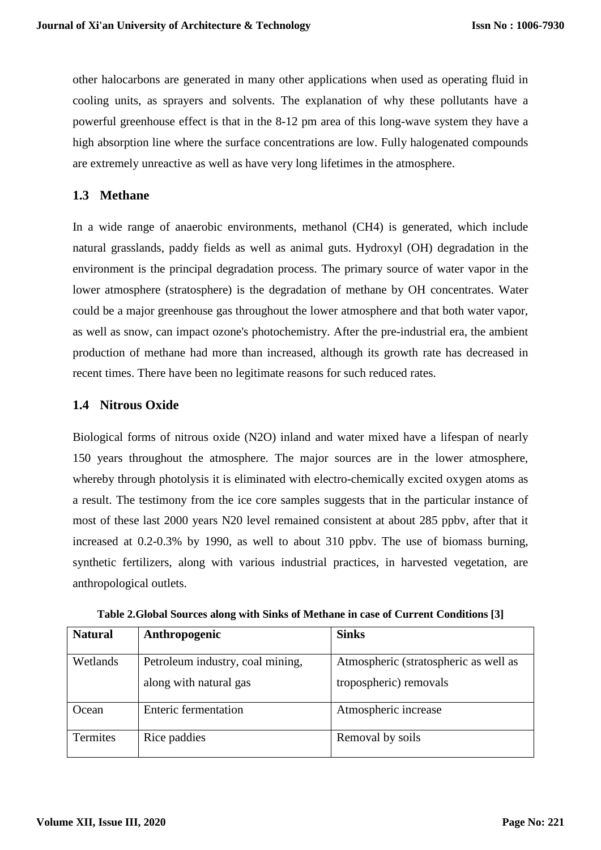other halocarbons are generated in many other applications when used as operating fluid in cooling units, as sprayers and solvents. The explanation of why these pollutants have a powerful greenhouse effect is that in the 8-12 pm area of this long-wave system they have a high absorption line where the surface concentrations are low. Fully halogenated compounds are extremely unreactive as well as have very long lifetimes in the atmosphere.

# **1.3 Methane**

In a wide range of anaerobic environments, methanol (CH4) is generated, which include natural grasslands, paddy fields as well as animal guts. Hydroxyl (OH) degradation in the environment is the principal degradation process. The primary source of water vapor in the lower atmosphere (stratosphere) is the degradation of methane by OH concentrates. Water could be a major greenhouse gas throughout the lower atmosphere and that both water vapor, as well as snow, can impact ozone's photochemistry. After the pre-industrial era, the ambient production of methane had more than increased, although its growth rate has decreased in recent times. There have been no legitimate reasons for such reduced rates.

# **1.4 Nitrous Oxide**

Biological forms of nitrous oxide (N2O) inland and water mixed have a lifespan of nearly 150 years throughout the atmosphere. The major sources are in the lower atmosphere, whereby through photolysis it is eliminated with electro-chemically excited oxygen atoms as a result. The testimony from the ice core samples suggests that in the particular instance of most of these last 2000 years N20 level remained consistent at about 285 ppbv, after that it increased at 0.2-0.3% by 1990, as well to about 310 ppbv. The use of biomass burning, synthetic fertilizers, along with various industrial practices, in harvested vegetation, are anthropological outlets.

| <b>Natural</b>  | Anthropogenic                    | <b>Sinks</b>                          |
|-----------------|----------------------------------|---------------------------------------|
| Wetlands        | Petroleum industry, coal mining, | Atmospheric (stratospheric as well as |
|                 | along with natural gas           | tropospheric) removals                |
| Ocean           | Enteric fermentation             | Atmospheric increase                  |
| <b>Termites</b> | Rice paddies                     | Removal by soils                      |

**Table 2.Global Sources along with Sinks of Methane in case of Current Conditions [3]**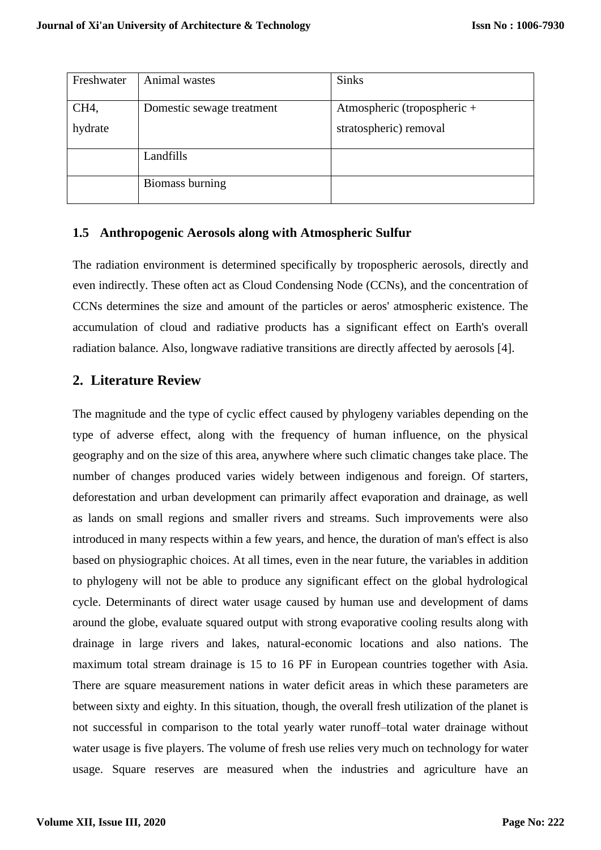| Freshwater | Animal wastes             | <b>Sinks</b>                |
|------------|---------------------------|-----------------------------|
| CH4,       | Domestic sewage treatment | Atmospheric (tropospheric + |
| hydrate    |                           | stratospheric) removal      |
|            | Landfills                 |                             |
|            | Biomass burning           |                             |

#### **1.5 Anthropogenic Aerosols along with Atmospheric Sulfur**

The radiation environment is determined specifically by tropospheric aerosols, directly and even indirectly. These often act as Cloud Condensing Node (CCNs), and the concentration of CCNs determines the size and amount of the particles or aeros' atmospheric existence. The accumulation of cloud and radiative products has a significant effect on Earth's overall radiation balance. Also, longwave radiative transitions are directly affected by aerosols [4].

# **2. Literature Review**

The magnitude and the type of cyclic effect caused by phylogeny variables depending on the type of adverse effect, along with the frequency of human influence, on the physical geography and on the size of this area, anywhere where such climatic changes take place. The number of changes produced varies widely between indigenous and foreign. Of starters, deforestation and urban development can primarily affect evaporation and drainage, as well as lands on small regions and smaller rivers and streams. Such improvements were also introduced in many respects within a few years, and hence, the duration of man's effect is also based on physiographic choices. At all times, even in the near future, the variables in addition to phylogeny will not be able to produce any significant effect on the global hydrological cycle. Determinants of direct water usage caused by human use and development of dams around the globe, evaluate squared output with strong evaporative cooling results along with drainage in large rivers and lakes, natural-economic locations and also nations. The maximum total stream drainage is 15 to 16 PF in European countries together with Asia. There are square measurement nations in water deficit areas in which these parameters are between sixty and eighty. In this situation, though, the overall fresh utilization of the planet is not successful in comparison to the total yearly water runoff–total water drainage without water usage is five players. The volume of fresh use relies very much on technology for water usage. Square reserves are measured when the industries and agriculture have an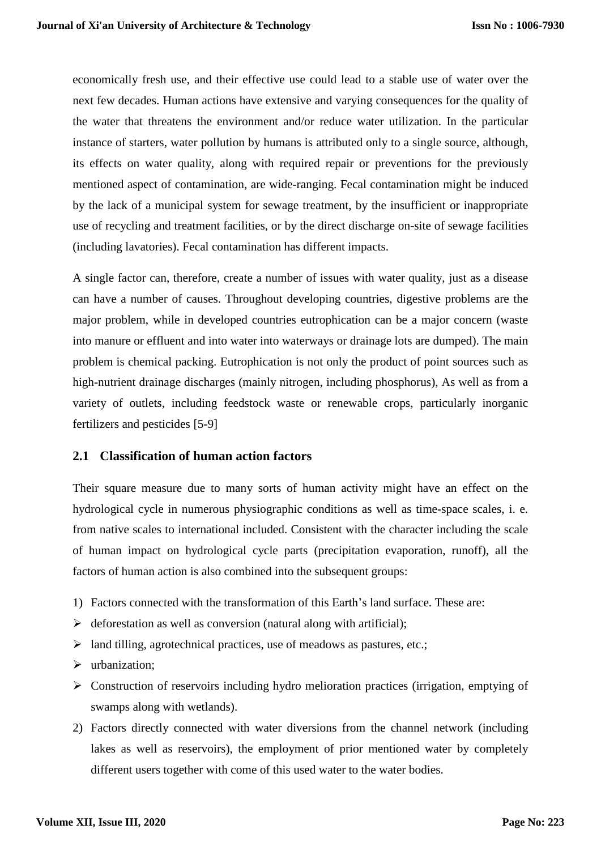economically fresh use, and their effective use could lead to a stable use of water over the next few decades. Human actions have extensive and varying consequences for the quality of the water that threatens the environment and/or reduce water utilization. In the particular instance of starters, water pollution by humans is attributed only to a single source, although, its effects on water quality, along with required repair or preventions for the previously mentioned aspect of contamination, are wide-ranging. Fecal contamination might be induced by the lack of a municipal system for sewage treatment, by the insufficient or inappropriate use of recycling and treatment facilities, or by the direct discharge on-site of sewage facilities (including lavatories). Fecal contamination has different impacts.

A single factor can, therefore, create a number of issues with water quality, just as a disease can have a number of causes. Throughout developing countries, digestive problems are the major problem, while in developed countries eutrophication can be a major concern (waste into manure or effluent and into water into waterways or drainage lots are dumped). The main problem is chemical packing. Eutrophication is not only the product of point sources such as high-nutrient drainage discharges (mainly nitrogen, including phosphorus), As well as from a variety of outlets, including feedstock waste or renewable crops, particularly inorganic fertilizers and pesticides [5-9]

#### **2.1 Classification of human action factors**

Their square measure due to many sorts of human activity might have an effect on the hydrological cycle in numerous physiographic conditions as well as time-space scales, i. e. from native scales to international included. Consistent with the character including the scale of human impact on hydrological cycle parts (precipitation evaporation, runoff), all the factors of human action is also combined into the subsequent groups:

- 1) Factors connected with the transformation of this Earth's land surface. These are:
- $\triangleright$  deforestation as well as conversion (natural along with artificial);
- $\triangleright$  land tilling, agrotechnical practices, use of meadows as pastures, etc.;
- > urbanization;
- Construction of reservoirs including hydro melioration practices (irrigation, emptying of swamps along with wetlands).
- 2) Factors directly connected with water diversions from the channel network (including lakes as well as reservoirs), the employment of prior mentioned water by completely different users together with come of this used water to the water bodies.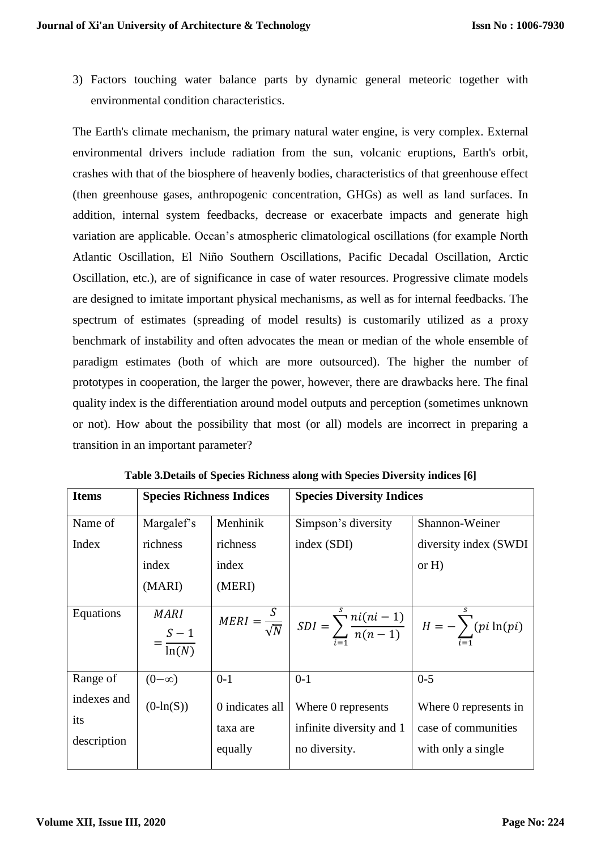3) Factors touching water balance parts by dynamic general meteoric together with environmental condition characteristics.

The Earth's climate mechanism, the primary natural water engine, is very complex. External environmental drivers include radiation from the sun, volcanic eruptions, Earth's orbit, crashes with that of the biosphere of heavenly bodies, characteristics of that greenhouse effect (then greenhouse gases, anthropogenic concentration, GHGs) as well as land surfaces. In addition, internal system feedbacks, decrease or exacerbate impacts and generate high variation are applicable. Ocean's atmospheric climatological oscillations (for example North Atlantic Oscillation, El Niño Southern Oscillations, Pacific Decadal Oscillation, Arctic Oscillation, etc.), are of significance in case of water resources. Progressive climate models are designed to imitate important physical mechanisms, as well as for internal feedbacks. The spectrum of estimates (spreading of model results) is customarily utilized as a proxy benchmark of instability and often advocates the mean or median of the whole ensemble of paradigm estimates (both of which are more outsourced). The higher the number of prototypes in cooperation, the larger the power, however, there are drawbacks here. The final quality index is the differentiation around model outputs and perception (sometimes unknown or not). How about the possibility that most (or all) models are incorrect in preparing a transition in an important parameter?

| <b>Items</b>                      | <b>Species Richness Indices</b> |                                        | <b>Species Diversity Indices</b>                                                                                                    |                                                                    |
|-----------------------------------|---------------------------------|----------------------------------------|-------------------------------------------------------------------------------------------------------------------------------------|--------------------------------------------------------------------|
| Name of                           | Margalef's                      | Menhinik                               | Simpson's diversity                                                                                                                 | Shannon-Weiner                                                     |
| Index                             | richness<br>index               | richness<br>index                      | index (SDI)                                                                                                                         | diversity index (SWDI)<br>or $H$ )                                 |
|                                   | (MARI)                          | (MERI)                                 |                                                                                                                                     |                                                                    |
| Equations                         | MARI<br>$=\frac{S-1}{\ln(N)}$   |                                        | $\overline{MERI} = \frac{S}{\sqrt{N}} \left  SDI = \sum_{i=1}^{S} \frac{ni(ni-1)}{n(n-1)} \right  H = -\sum_{i=1}^{S} (pi \ln(pi))$ |                                                                    |
| Range of                          | $(\infty - 0)$                  | $0-1$                                  | $0-1$                                                                                                                               | $0 - 5$                                                            |
| indexes and<br>its<br>description | $(0-In(S))$                     | 0 indicates all<br>taxa are<br>equally | Where 0 represents<br>infinite diversity and 1<br>no diversity.                                                                     | Where 0 represents in<br>case of communities<br>with only a single |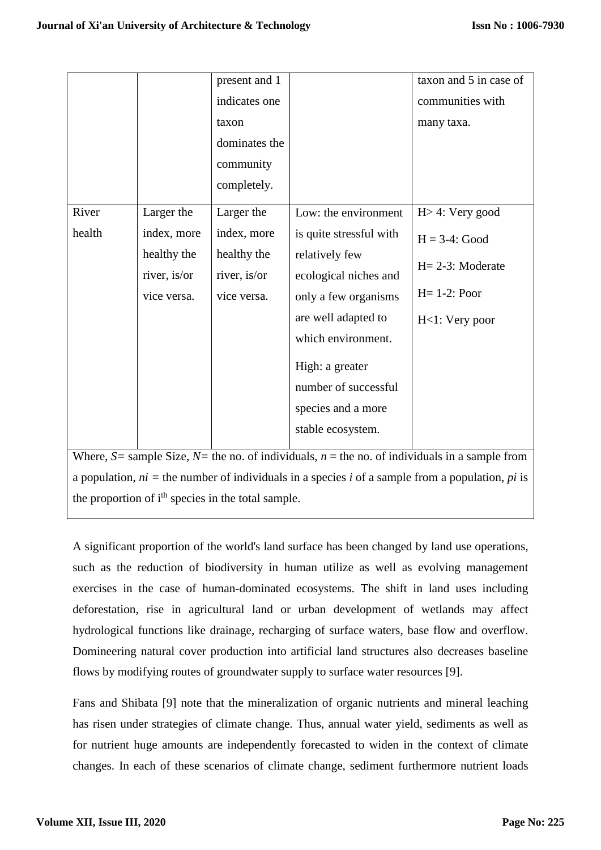|        |                                                                | present and 1 |                                                                                                       | taxon and 5 in case of |  |
|--------|----------------------------------------------------------------|---------------|-------------------------------------------------------------------------------------------------------|------------------------|--|
|        |                                                                | indicates one |                                                                                                       | communities with       |  |
|        |                                                                | taxon         |                                                                                                       | many taxa.             |  |
|        |                                                                | dominates the |                                                                                                       |                        |  |
|        |                                                                | community     |                                                                                                       |                        |  |
|        |                                                                | completely.   |                                                                                                       |                        |  |
| River  | Larger the                                                     | Larger the    | Low: the environment                                                                                  | $H > 4$ : Very good    |  |
| health | index, more                                                    | index, more   | is quite stressful with                                                                               | $H = 3-4$ : Good       |  |
|        | healthy the                                                    | healthy the   | relatively few                                                                                        |                        |  |
|        | river, is/or                                                   | river, is/or  | ecological niches and                                                                                 | $H = 2-3$ : Moderate   |  |
|        | vice versa.                                                    | vice versa.   | only a few organisms                                                                                  | $H=1-2$ : Poor         |  |
|        |                                                                |               | are well adapted to                                                                                   | $H<1$ : Very poor      |  |
|        |                                                                |               | which environment.                                                                                    |                        |  |
|        |                                                                |               | High: a greater                                                                                       |                        |  |
|        |                                                                |               | number of successful                                                                                  |                        |  |
|        |                                                                |               | species and a more                                                                                    |                        |  |
|        |                                                                |               | stable ecosystem.                                                                                     |                        |  |
|        |                                                                |               | Where, $S$ = sample Size, $N$ = the no. of individuals, $n$ = the no. of individuals in a sample from |                        |  |
|        |                                                                |               |                                                                                                       |                        |  |
|        |                                                                |               | a population, $ni =$ the number of individuals in a species i of a sample from a population, pi is    |                        |  |
|        | the proportion of i <sup>th</sup> species in the total sample. |               |                                                                                                       |                        |  |

A significant proportion of the world's land surface has been changed by land use operations, such as the reduction of biodiversity in human utilize as well as evolving management exercises in the case of human-dominated ecosystems. The shift in land uses including deforestation, rise in agricultural land or urban development of wetlands may affect hydrological functions like drainage, recharging of surface waters, base flow and overflow. Domineering natural cover production into artificial land structures also decreases baseline flows by modifying routes of groundwater supply to surface water resources [9].

Fans and Shibata [9] note that the mineralization of organic nutrients and mineral leaching has risen under strategies of climate change. Thus, annual water yield, sediments as well as for nutrient huge amounts are independently forecasted to widen in the context of climate changes. In each of these scenarios of climate change, sediment furthermore nutrient loads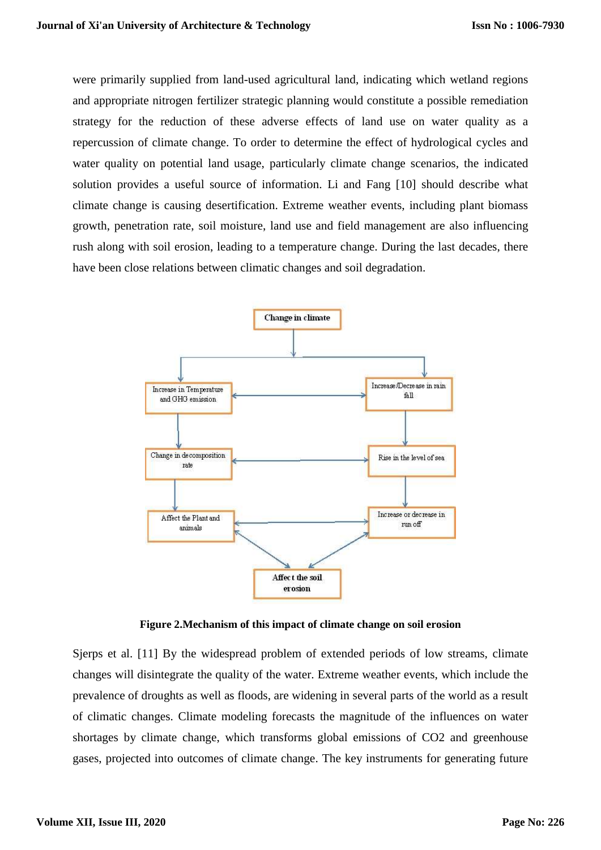were primarily supplied from land-used agricultural land, indicating which wetland regions and appropriate nitrogen fertilizer strategic planning would constitute a possible remediation strategy for the reduction of these adverse effects of land use on water quality as a repercussion of climate change. To order to determine the effect of hydrological cycles and water quality on potential land usage, particularly climate change scenarios, the indicated solution provides a useful source of information. Li and Fang [10] should describe what climate change is causing desertification. Extreme weather events, including plant biomass growth, penetration rate, soil moisture, land use and field management are also influencing rush along with soil erosion, leading to a temperature change. During the last decades, there have been close relations between climatic changes and soil degradation.



**Figure 2.Mechanism of this impact of climate change on soil erosion**

Sjerps et al. [11] By the widespread problem of extended periods of low streams, climate changes will disintegrate the quality of the water. Extreme weather events, which include the prevalence of droughts as well as floods, are widening in several parts of the world as a result of climatic changes. Climate modeling forecasts the magnitude of the influences on water shortages by climate change, which transforms global emissions of CO2 and greenhouse gases, projected into outcomes of climate change. The key instruments for generating future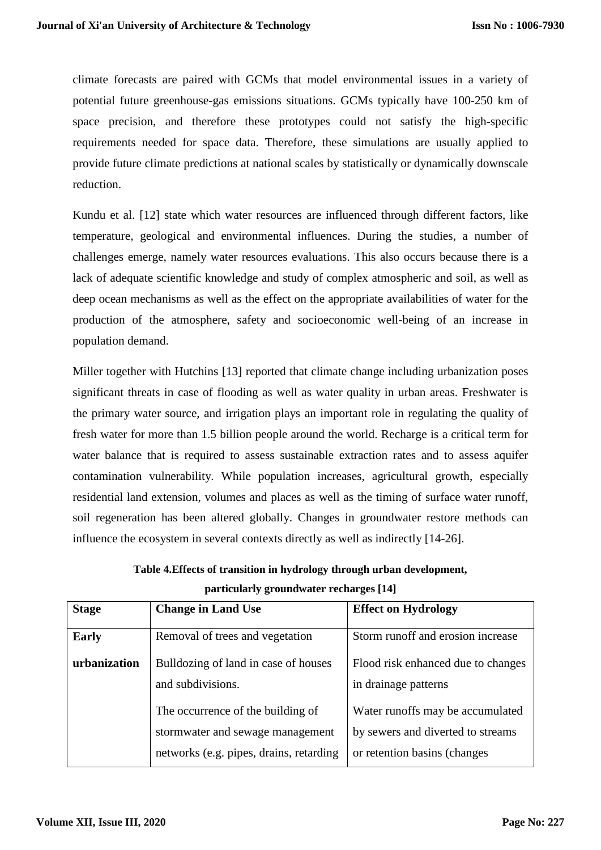climate forecasts are paired with GCMs that model environmental issues in a variety of potential future greenhouse-gas emissions situations. GCMs typically have 100-250 km of space precision, and therefore these prototypes could not satisfy the high-specific requirements needed for space data. Therefore, these simulations are usually applied to provide future climate predictions at national scales by statistically or dynamically downscale reduction.

Kundu et al. [12] state which water resources are influenced through different factors, like temperature, geological and environmental influences. During the studies, a number of challenges emerge, namely water resources evaluations. This also occurs because there is a lack of adequate scientific knowledge and study of complex atmospheric and soil, as well as deep ocean mechanisms as well as the effect on the appropriate availabilities of water for the production of the atmosphere, safety and socioeconomic well-being of an increase in population demand.

Miller together with Hutchins [13] reported that climate change including urbanization poses significant threats in case of flooding as well as water quality in urban areas. Freshwater is the primary water source, and irrigation plays an important role in regulating the quality of fresh water for more than 1.5 billion people around the world. Recharge is a critical term for water balance that is required to assess sustainable extraction rates and to assess aquifer contamination vulnerability. While population increases, agricultural growth, especially residential land extension, volumes and places as well as the timing of surface water runoff, soil regeneration has been altered globally. Changes in groundwater restore methods can influence the ecosystem in several contexts directly as well as indirectly [14-26].

| <b>Stage</b> | <b>Change in Land Use</b>                                                                                        | <b>Effect on Hydrology</b>                                                                            |
|--------------|------------------------------------------------------------------------------------------------------------------|-------------------------------------------------------------------------------------------------------|
| <b>Early</b> | Removal of trees and vegetation                                                                                  | Storm runoff and erosion increase                                                                     |
| urbanization | Bulldozing of land in case of houses<br>and subdivisions.                                                        | Flood risk enhanced due to changes<br>in drainage patterns                                            |
|              | The occurrence of the building of<br>stormwater and sewage management<br>networks (e.g. pipes, drains, retarding | Water runoffs may be accumulated<br>by sewers and diverted to streams<br>or retention basins (changes |

**Table 4.Effects of transition in hydrology through urban development, particularly groundwater recharges [14]**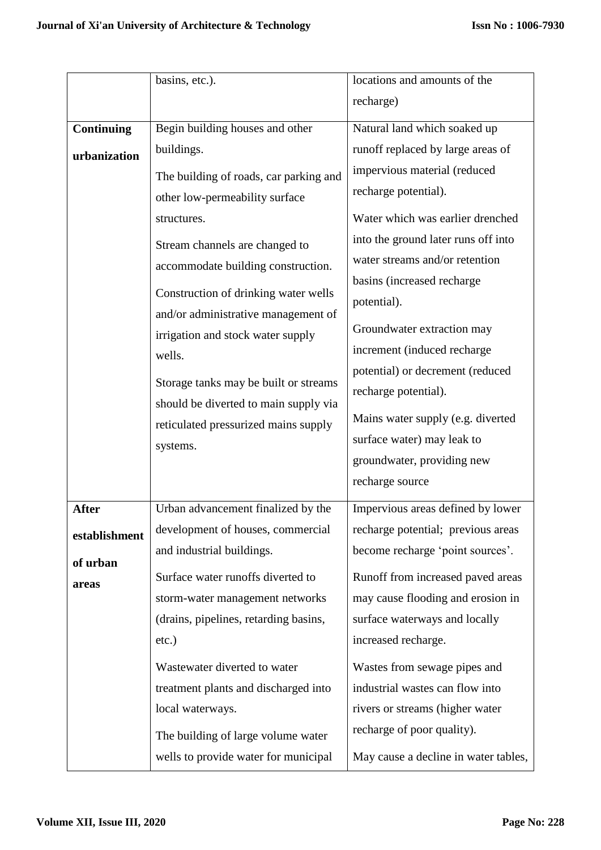|                   | basins, etc.).                                                                                                                                                                                                                                                                                                                                                                                                                      | locations and amounts of the                                                                                                                                                                                                                                                                                                                                                                                                             |
|-------------------|-------------------------------------------------------------------------------------------------------------------------------------------------------------------------------------------------------------------------------------------------------------------------------------------------------------------------------------------------------------------------------------------------------------------------------------|------------------------------------------------------------------------------------------------------------------------------------------------------------------------------------------------------------------------------------------------------------------------------------------------------------------------------------------------------------------------------------------------------------------------------------------|
|                   |                                                                                                                                                                                                                                                                                                                                                                                                                                     | recharge)                                                                                                                                                                                                                                                                                                                                                                                                                                |
| <b>Continuing</b> | Begin building houses and other                                                                                                                                                                                                                                                                                                                                                                                                     | Natural land which soaked up                                                                                                                                                                                                                                                                                                                                                                                                             |
|                   | buildings.                                                                                                                                                                                                                                                                                                                                                                                                                          | runoff replaced by large areas of                                                                                                                                                                                                                                                                                                                                                                                                        |
| urbanization      | The building of roads, car parking and<br>other low-permeability surface<br>structures.<br>Stream channels are changed to<br>accommodate building construction.<br>Construction of drinking water wells<br>and/or administrative management of<br>irrigation and stock water supply<br>wells.<br>Storage tanks may be built or streams<br>should be diverted to main supply via<br>reticulated pressurized mains supply<br>systems. | impervious material (reduced<br>recharge potential).<br>Water which was earlier drenched<br>into the ground later runs off into<br>water streams and/or retention<br>basins (increased recharge<br>potential).<br>Groundwater extraction may<br>increment (induced recharge<br>potential) or decrement (reduced<br>recharge potential).<br>Mains water supply (e.g. diverted<br>surface water) may leak to<br>groundwater, providing new |
|                   |                                                                                                                                                                                                                                                                                                                                                                                                                                     | recharge source                                                                                                                                                                                                                                                                                                                                                                                                                          |
| <b>After</b>      | Urban advancement finalized by the                                                                                                                                                                                                                                                                                                                                                                                                  | Impervious areas defined by lower                                                                                                                                                                                                                                                                                                                                                                                                        |
| establishment     | development of houses, commercial                                                                                                                                                                                                                                                                                                                                                                                                   | recharge potential; previous areas                                                                                                                                                                                                                                                                                                                                                                                                       |
| of urban          | and industrial buildings.                                                                                                                                                                                                                                                                                                                                                                                                           | become recharge 'point sources'.                                                                                                                                                                                                                                                                                                                                                                                                         |
| areas             | Surface water runoffs diverted to                                                                                                                                                                                                                                                                                                                                                                                                   | Runoff from increased paved areas                                                                                                                                                                                                                                                                                                                                                                                                        |
|                   | storm-water management networks                                                                                                                                                                                                                                                                                                                                                                                                     | may cause flooding and erosion in                                                                                                                                                                                                                                                                                                                                                                                                        |
|                   | (drains, pipelines, retarding basins,                                                                                                                                                                                                                                                                                                                                                                                               | surface waterways and locally                                                                                                                                                                                                                                                                                                                                                                                                            |
|                   | $etc.$ )                                                                                                                                                                                                                                                                                                                                                                                                                            | increased recharge.                                                                                                                                                                                                                                                                                                                                                                                                                      |
|                   | Wastewater diverted to water<br>treatment plants and discharged into<br>local waterways.<br>The building of large volume water<br>wells to provide water for municipal                                                                                                                                                                                                                                                              | Wastes from sewage pipes and<br>industrial wastes can flow into<br>rivers or streams (higher water<br>recharge of poor quality).<br>May cause a decline in water tables,                                                                                                                                                                                                                                                                 |
|                   |                                                                                                                                                                                                                                                                                                                                                                                                                                     |                                                                                                                                                                                                                                                                                                                                                                                                                                          |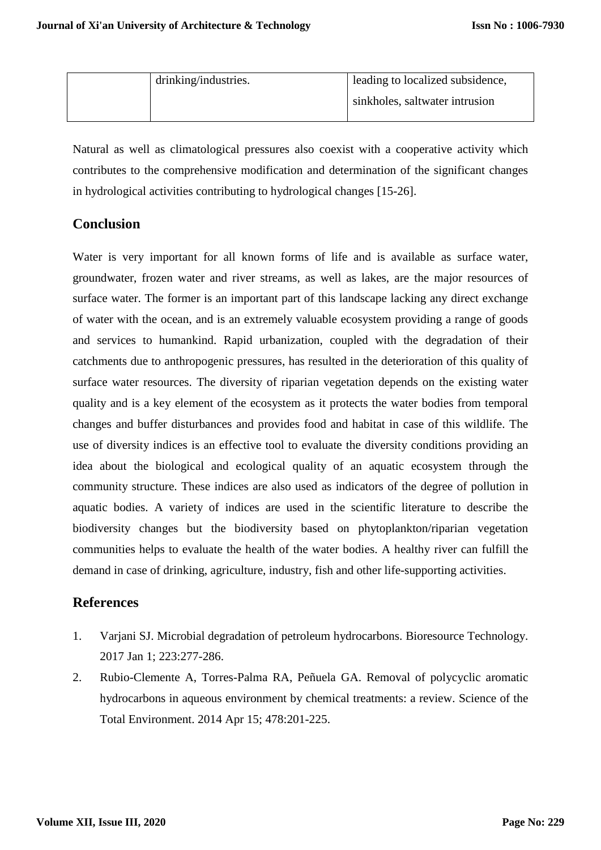| drinking/industries. | leading to localized subsidence, |
|----------------------|----------------------------------|
|                      | sinkholes, saltwater intrusion   |

Natural as well as climatological pressures also coexist with a cooperative activity which contributes to the comprehensive modification and determination of the significant changes in hydrological activities contributing to hydrological changes [15-26].

# **Conclusion**

Water is very important for all known forms of life and is available as surface water, groundwater, frozen water and river streams, as well as lakes, are the major resources of surface water. The former is an important part of this landscape lacking any direct exchange of water with the ocean, and is an extremely valuable ecosystem providing a range of goods and services to humankind. Rapid urbanization, coupled with the degradation of their catchments due to anthropogenic pressures, has resulted in the deterioration of this quality of surface water resources. The diversity of riparian vegetation depends on the existing water quality and is a key element of the ecosystem as it protects the water bodies from temporal changes and buffer disturbances and provides food and habitat in case of this wildlife. The use of diversity indices is an effective tool to evaluate the diversity conditions providing an idea about the biological and ecological quality of an aquatic ecosystem through the community structure. These indices are also used as indicators of the degree of pollution in aquatic bodies. A variety of indices are used in the scientific literature to describe the biodiversity changes but the biodiversity based on phytoplankton/riparian vegetation communities helps to evaluate the health of the water bodies. A healthy river can fulfill the demand in case of drinking, agriculture, industry, fish and other life-supporting activities.

# **References**

- 1. Varjani SJ. Microbial degradation of petroleum hydrocarbons. Bioresource Technology. 2017 Jan 1; 223:277-286.
- 2. Rubio-Clemente A, Torres-Palma RA, Peñuela GA. Removal of polycyclic aromatic hydrocarbons in aqueous environment by chemical treatments: a review. Science of the Total Environment. 2014 Apr 15; 478:201-225.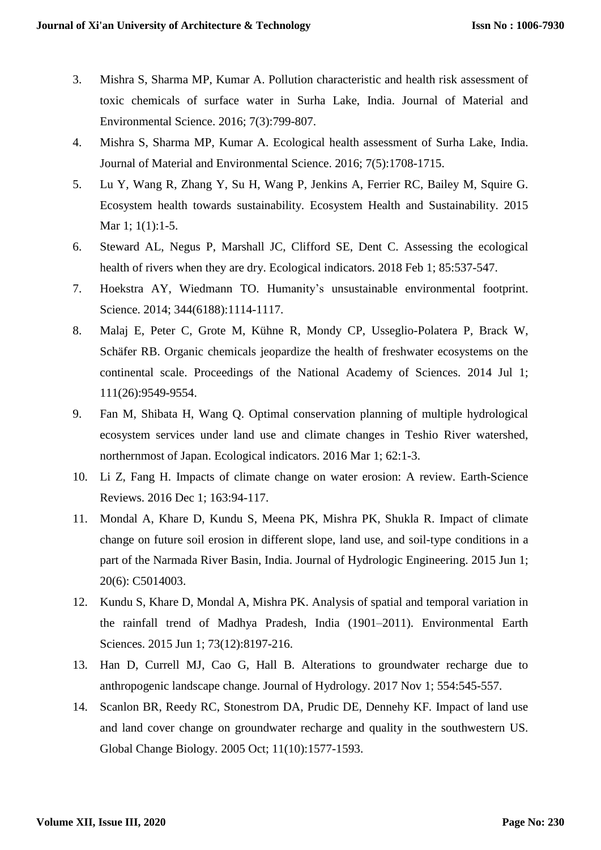- 3. Mishra S, Sharma MP, Kumar A. Pollution characteristic and health risk assessment of toxic chemicals of surface water in Surha Lake, India. Journal of Material and Environmental Science. 2016; 7(3):799-807.
- 4. Mishra S, Sharma MP, Kumar A. Ecological health assessment of Surha Lake, India. Journal of Material and Environmental Science. 2016; 7(5):1708-1715.
- 5. Lu Y, Wang R, Zhang Y, Su H, Wang P, Jenkins A, Ferrier RC, Bailey M, Squire G. Ecosystem health towards sustainability. Ecosystem Health and Sustainability. 2015 Mar 1; 1(1):1-5.
- 6. Steward AL, Negus P, Marshall JC, Clifford SE, Dent C. Assessing the ecological health of rivers when they are dry. Ecological indicators. 2018 Feb 1; 85:537-547.
- 7. Hoekstra AY, Wiedmann TO. Humanity's unsustainable environmental footprint. Science. 2014; 344(6188):1114-1117.
- 8. Malaj E, Peter C, Grote M, Kühne R, Mondy CP, Usseglio-Polatera P, Brack W, Schäfer RB. Organic chemicals jeopardize the health of freshwater ecosystems on the continental scale. Proceedings of the National Academy of Sciences. 2014 Jul 1; 111(26):9549-9554.
- 9. Fan M, Shibata H, Wang Q. Optimal conservation planning of multiple hydrological ecosystem services under land use and climate changes in Teshio River watershed, northernmost of Japan. Ecological indicators. 2016 Mar 1; 62:1-3.
- 10. Li Z, Fang H. Impacts of climate change on water erosion: A review. Earth-Science Reviews. 2016 Dec 1; 163:94-117.
- 11. Mondal A, Khare D, Kundu S, Meena PK, Mishra PK, Shukla R. Impact of climate change on future soil erosion in different slope, land use, and soil-type conditions in a part of the Narmada River Basin, India. Journal of Hydrologic Engineering. 2015 Jun 1; 20(6): C5014003.
- 12. Kundu S, Khare D, Mondal A, Mishra PK. Analysis of spatial and temporal variation in the rainfall trend of Madhya Pradesh, India (1901–2011). Environmental Earth Sciences. 2015 Jun 1; 73(12):8197-216.
- 13. Han D, Currell MJ, Cao G, Hall B. Alterations to groundwater recharge due to anthropogenic landscape change. Journal of Hydrology. 2017 Nov 1; 554:545-557.
- 14. Scanlon BR, Reedy RC, Stonestrom DA, Prudic DE, Dennehy KF. Impact of land use and land cover change on groundwater recharge and quality in the southwestern US. Global Change Biology. 2005 Oct; 11(10):1577-1593.